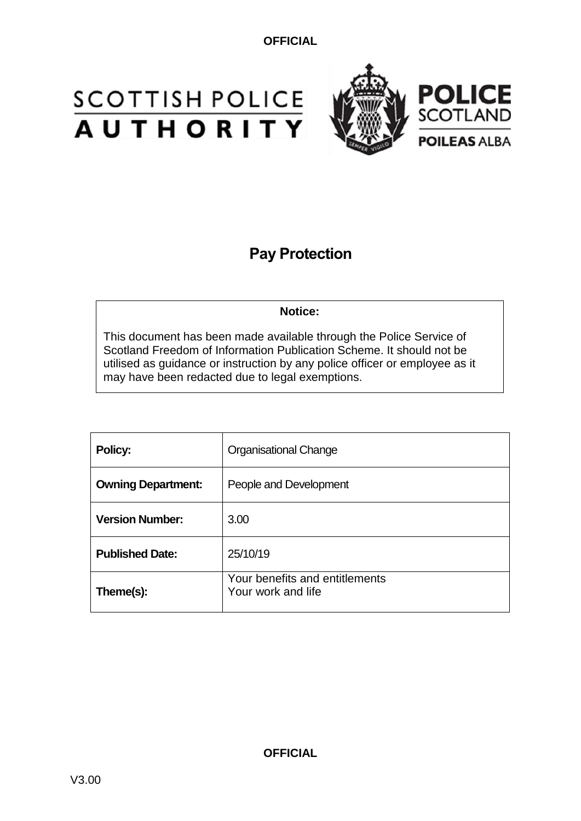# **SCOTTISH POLICE**<br>**AUTHORITY**



## **Pay Protection**

**Notice:**

This document has been made available through the Police Service of Scotland Freedom of Information Publication Scheme. It should not be utilised as guidance or instruction by any police officer or employee as it may have been redacted due to legal exemptions.

| Policy:                   | <b>Organisational Change</b>                         |  |
|---------------------------|------------------------------------------------------|--|
| <b>Owning Department:</b> | People and Development                               |  |
| <b>Version Number:</b>    | 3.00                                                 |  |
| <b>Published Date:</b>    | 25/10/19                                             |  |
| Theme(s):                 | Your benefits and entitlements<br>Your work and life |  |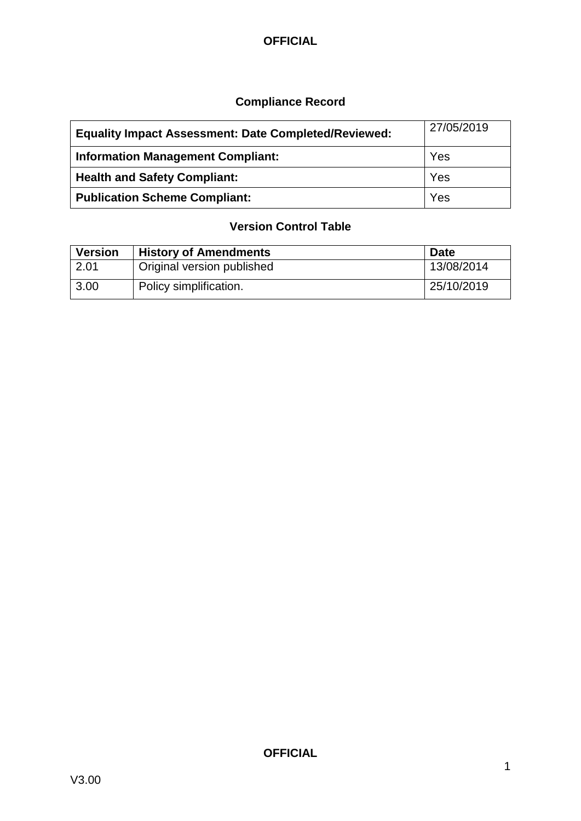## **Compliance Record**

| <b>Equality Impact Assessment: Date Completed/Reviewed:</b> | 27/05/2019 |
|-------------------------------------------------------------|------------|
| <b>Information Management Compliant:</b>                    | Yes        |
| <b>Health and Safety Compliant:</b>                         | Yes        |
| <b>Publication Scheme Compliant:</b>                        | Yes        |

#### **Version Control Table**

| <b>Version</b> | <b>History of Amendments</b> | <b>Date</b> |
|----------------|------------------------------|-------------|
| 2.01           | Original version published   | 13/08/2014  |
| 3.00           | Policy simplification.       | 25/10/2019  |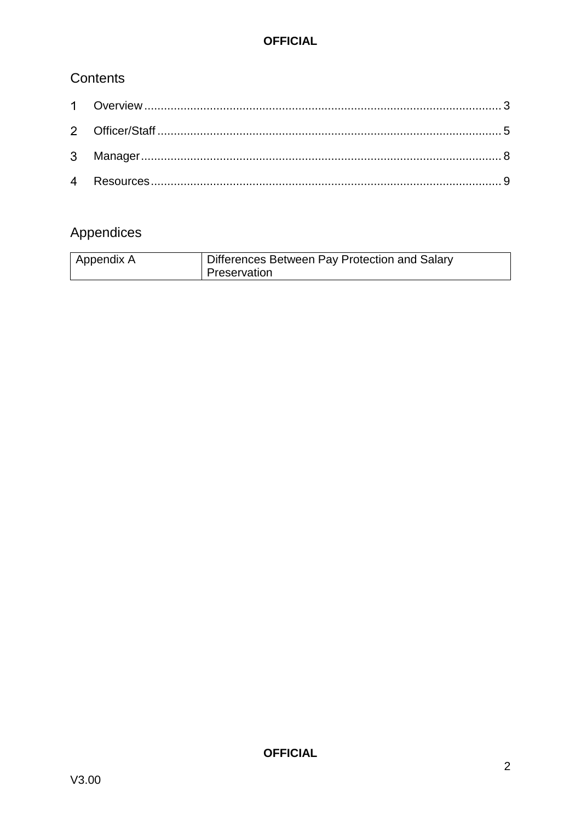## Contents

## Appendices

| Appendix A | Differences Between Pay Protection and Salary |
|------------|-----------------------------------------------|
|            | Preservation                                  |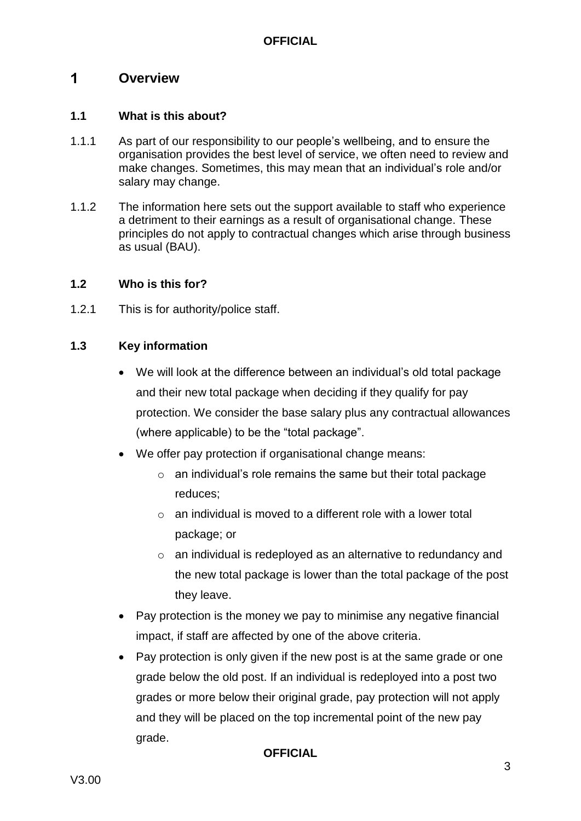#### <span id="page-3-0"></span> $\blacksquare$ **Overview**

#### **1.1 What is this about?**

- 1.1.1 As part of our responsibility to our people's wellbeing, and to ensure the organisation provides the best level of service, we often need to review and make changes. Sometimes, this may mean that an individual's role and/or salary may change.
- 1.1.2 The information here sets out the support available to staff who experience a detriment to their earnings as a result of organisational change. These principles do not apply to contractual changes which arise through business as usual (BAU).

#### **1.2 Who is this for?**

1.2.1 This is for authority/police staff.

#### **1.3 Key information**

- We will look at the difference between an individual's old total package and their new total package when deciding if they qualify for pay protection. We consider the base salary plus any contractual allowances (where applicable) to be the "total package".
- We offer pay protection if organisational change means:
	- $\circ$  an individual's role remains the same but their total package reduces;
	- $\circ$  an individual is moved to a different role with a lower total package; or
	- o an individual is redeployed as an alternative to redundancy and the new total package is lower than the total package of the post they leave.
- Pay protection is the money we pay to minimise any negative financial impact, if staff are affected by one of the above criteria.
- Pay protection is only given if the new post is at the same grade or one grade below the old post. If an individual is redeployed into a post two grades or more below their original grade, pay protection will not apply and they will be placed on the top incremental point of the new pay grade.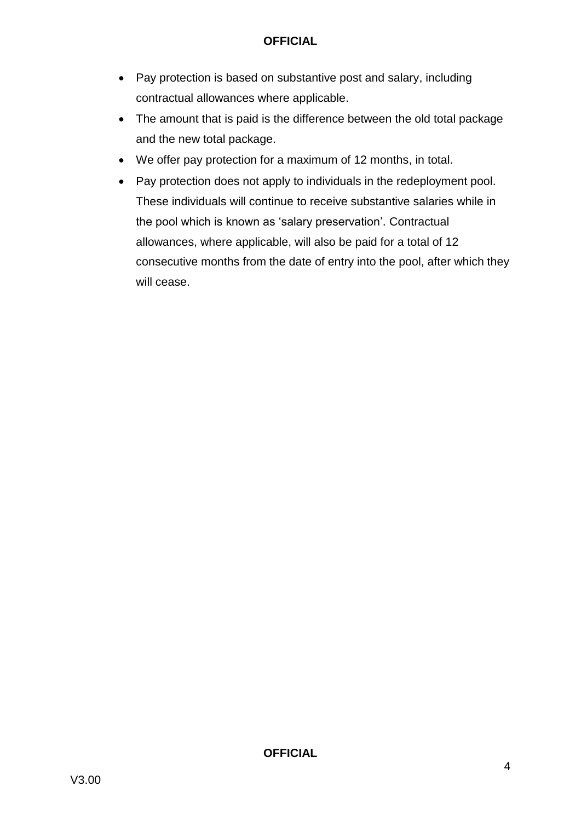- Pay protection is based on substantive post and salary, including contractual allowances where applicable.
- The amount that is paid is the difference between the old total package and the new total package.
- We offer pay protection for a maximum of 12 months, in total.
- Pay protection does not apply to individuals in the redeployment pool. These individuals will continue to receive substantive salaries while in the pool which is known as 'salary preservation'. Contractual allowances, where applicable, will also be paid for a total of 12 consecutive months from the date of entry into the pool, after which they will cease.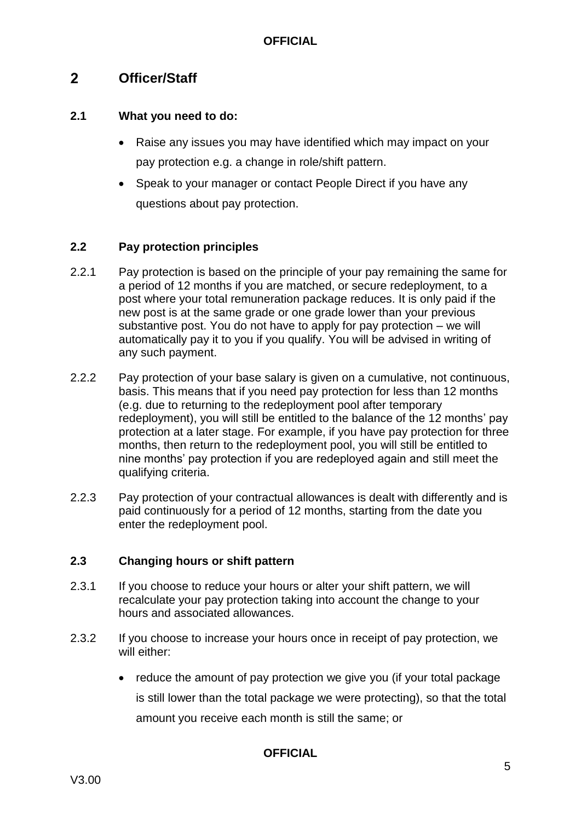#### <span id="page-5-0"></span> $2<sup>1</sup>$ **Officer/Staff**

#### **2.1 What you need to do:**

- Raise any issues you may have identified which may impact on your pay protection e.g. a change in role/shift pattern.
- Speak to your manager or contact People Direct if you have any questions about pay protection.

#### **2.2 Pay protection principles**

- 2.2.1 Pay protection is based on the principle of your pay remaining the same for a period of 12 months if you are matched, or secure redeployment, to a post where your total remuneration package reduces. It is only paid if the new post is at the same grade or one grade lower than your previous substantive post. You do not have to apply for pay protection – we will automatically pay it to you if you qualify. You will be advised in writing of any such payment.
- 2.2.2 Pay protection of your base salary is given on a cumulative, not continuous, basis. This means that if you need pay protection for less than 12 months (e.g. due to returning to the redeployment pool after temporary redeployment), you will still be entitled to the balance of the 12 months' pay protection at a later stage. For example, if you have pay protection for three months, then return to the redeployment pool, you will still be entitled to nine months' pay protection if you are redeployed again and still meet the qualifying criteria.
- 2.2.3 Pay protection of your contractual allowances is dealt with differently and is paid continuously for a period of 12 months, starting from the date you enter the redeployment pool.

#### **2.3 Changing hours or shift pattern**

- 2.3.1 If you choose to reduce your hours or alter your shift pattern, we will recalculate your pay protection taking into account the change to your hours and associated allowances.
- 2.3.2 If you choose to increase your hours once in receipt of pay protection, we will either:
	- reduce the amount of pay protection we give you (if your total package is still lower than the total package we were protecting), so that the total amount you receive each month is still the same; or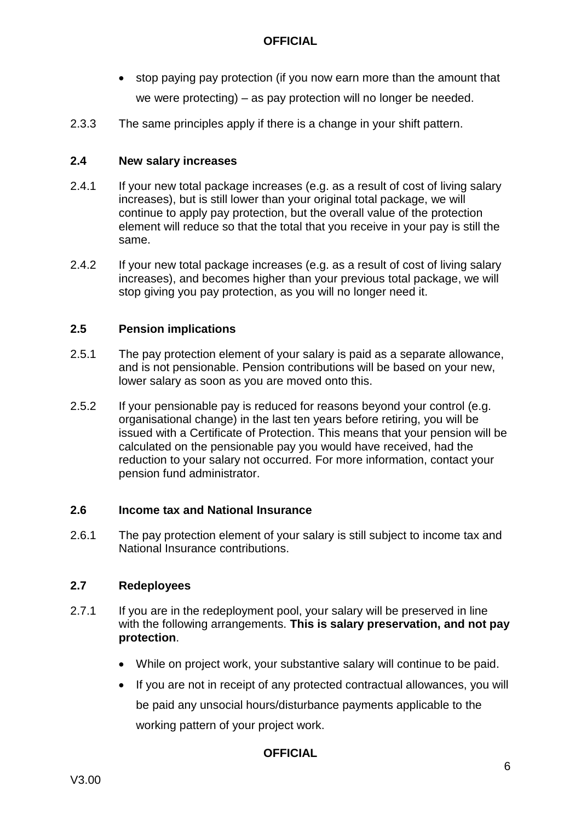- stop paying pay protection (if you now earn more than the amount that we were protecting) – as pay protection will no longer be needed.
- 2.3.3 The same principles apply if there is a change in your shift pattern.

#### **2.4 New salary increases**

- 2.4.1 If your new total package increases (e.g. as a result of cost of living salary increases), but is still lower than your original total package, we will continue to apply pay protection, but the overall value of the protection element will reduce so that the total that you receive in your pay is still the same.
- 2.4.2 If your new total package increases (e.g. as a result of cost of living salary increases), and becomes higher than your previous total package, we will stop giving you pay protection, as you will no longer need it.

#### **2.5 Pension implications**

- 2.5.1 The pay protection element of your salary is paid as a separate allowance, and is not pensionable. Pension contributions will be based on your new, lower salary as soon as you are moved onto this.
- 2.5.2 If your pensionable pay is reduced for reasons beyond your control (e.g. organisational change) in the last ten years before retiring, you will be issued with a Certificate of Protection. This means that your pension will be calculated on the pensionable pay you would have received, had the reduction to your salary not occurred. For more information, contact your pension fund administrator.

#### **2.6 Income tax and National Insurance**

2.6.1 The pay protection element of your salary is still subject to income tax and National Insurance contributions.

#### **2.7 Redeployees**

- 2.7.1 If you are in the redeployment pool, your salary will be preserved in line with the following arrangements. **This is salary preservation, and not pay protection**.
	- While on project work, your substantive salary will continue to be paid.
	- If you are not in receipt of any protected contractual allowances, you will be paid any unsocial hours/disturbance payments applicable to the working pattern of your project work.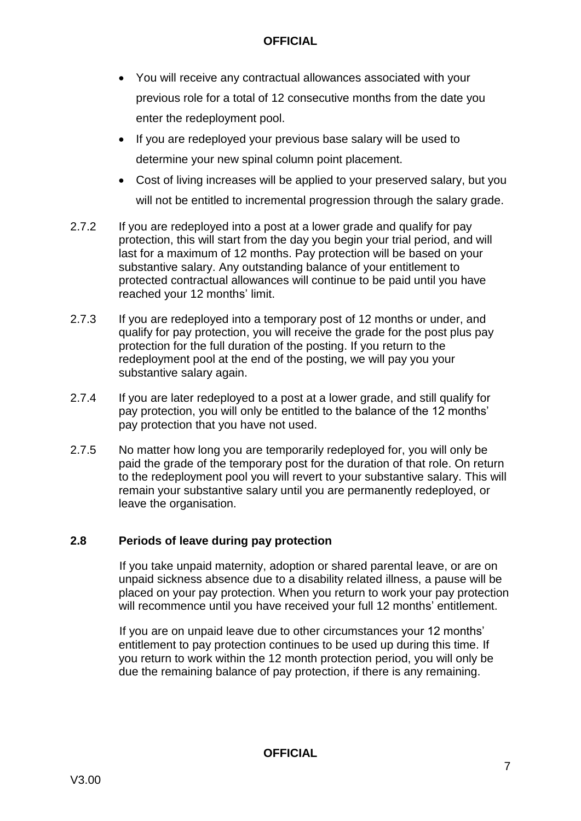- You will receive any contractual allowances associated with your previous role for a total of 12 consecutive months from the date you enter the redeployment pool.
- If you are redeployed your previous base salary will be used to determine your new spinal column point placement.
- Cost of living increases will be applied to your preserved salary, but you will not be entitled to incremental progression through the salary grade.
- 2.7.2 If you are redeployed into a post at a lower grade and qualify for pay protection, this will start from the day you begin your trial period, and will last for a maximum of 12 months. Pay protection will be based on your substantive salary. Any outstanding balance of your entitlement to protected contractual allowances will continue to be paid until you have reached your 12 months' limit.
- 2.7.3 If you are redeployed into a temporary post of 12 months or under, and qualify for pay protection, you will receive the grade for the post plus pay protection for the full duration of the posting. If you return to the redeployment pool at the end of the posting, we will pay you your substantive salary again.
- 2.7.4 If you are later redeployed to a post at a lower grade, and still qualify for pay protection, you will only be entitled to the balance of the 12 months' pay protection that you have not used.
- 2.7.5 No matter how long you are temporarily redeployed for, you will only be paid the grade of the temporary post for the duration of that role. On return to the redeployment pool you will revert to your substantive salary. This will remain your substantive salary until you are permanently redeployed, or leave the organisation.

#### **2.8 Periods of leave during pay protection**

If you take unpaid maternity, adoption or shared parental leave, or are on unpaid sickness absence due to a disability related illness, a pause will be placed on your pay protection. When you return to work your pay protection will recommence until you have received your full 12 months' entitlement.

If you are on unpaid leave due to other circumstances your 12 months' entitlement to pay protection continues to be used up during this time. If you return to work within the 12 month protection period, you will only be due the remaining balance of pay protection, if there is any remaining.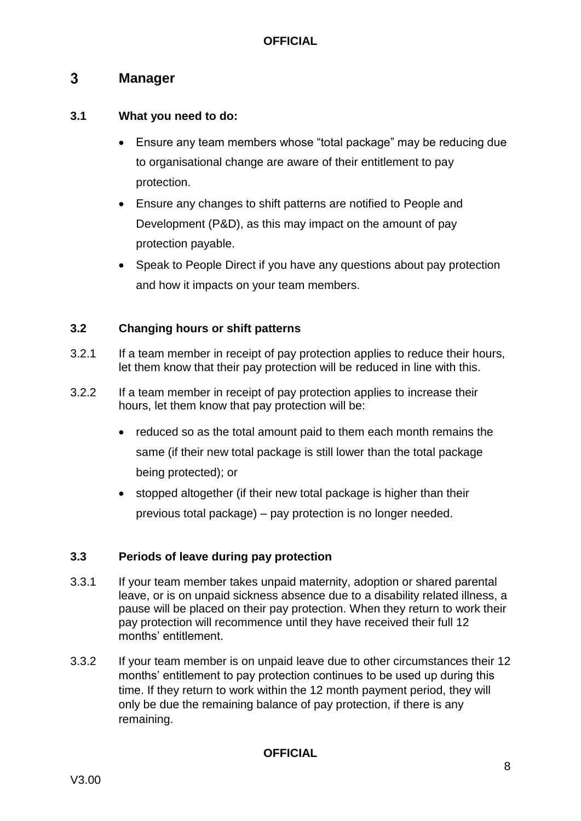#### <span id="page-8-0"></span> $3<sup>1</sup>$ **Manager**

#### **3.1 What you need to do:**

- Ensure any team members whose "total package" may be reducing due to organisational change are aware of their entitlement to pay protection.
- Ensure any changes to shift patterns are notified to People and Development (P&D), as this may impact on the amount of pay protection payable.
- Speak to People Direct if you have any questions about pay protection and how it impacts on your team members.

#### **3.2 Changing hours or shift patterns**

- 3.2.1 If a team member in receipt of pay protection applies to reduce their hours, let them know that their pay protection will be reduced in line with this.
- 3.2.2 If a team member in receipt of pay protection applies to increase their hours, let them know that pay protection will be:
	- reduced so as the total amount paid to them each month remains the same (if their new total package is still lower than the total package being protected); or
	- stopped altogether (if their new total package is higher than their previous total package) – pay protection is no longer needed.

#### **3.3 Periods of leave during pay protection**

- 3.3.1 If your team member takes unpaid maternity, adoption or shared parental leave, or is on unpaid sickness absence due to a disability related illness, a pause will be placed on their pay protection. When they return to work their pay protection will recommence until they have received their full 12 months' entitlement.
- 3.3.2 If your team member is on unpaid leave due to other circumstances their 12 months' entitlement to pay protection continues to be used up during this time. If they return to work within the 12 month payment period, they will only be due the remaining balance of pay protection, if there is any remaining.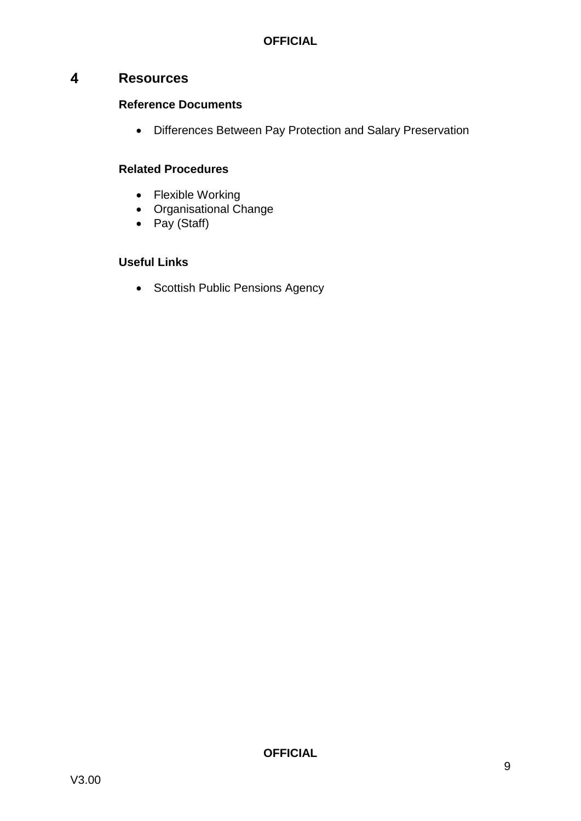#### <span id="page-9-0"></span> $\overline{\mathbf{4}}$ **Resources**

#### **Reference Documents**

Differences Between Pay Protection and Salary Preservation

#### **Related Procedures**

- Flexible Working
- Organisational Change
- Pay (Staff)

#### **Useful Links**

• Scottish Public Pensions Agency